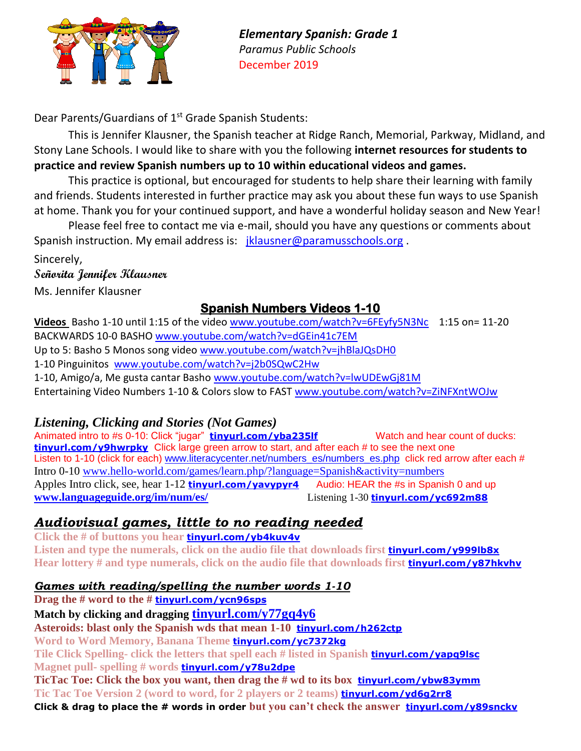

*Elementary Spanish: Grade 1 Paramus Public Schools* December 2019

Dear Parents/Guardians of 1<sup>st</sup> Grade Spanish Students:

This is Jennifer Klausner, the Spanish teacher at Ridge Ranch, Memorial, Parkway, Midland, and Stony Lane Schools. I would like to share with you the following **internet resources for students to practice and review Spanish numbers up to 10 within educational videos and games.**

This practice is optional, but encouraged for students to help share their learning with family and friends. Students interested in further practice may ask you about these fun ways to use Spanish at home. Thank you for your continued support, and have a wonderful holiday season and New Year!

Please feel free to contact me via e-mail, should you have any questions or comments about Spanish instruction. My email address is: [jklausner@paramusschools.org](mailto:jklausner@paramus.k12.nj.us) .

Sincerely,

**Señorita Jennifer Klausner** 

Ms. Jennifer Klausner

# **Spanish Numbers Videos 1-10**

**Videos** Basho 1-10 until 1:15 of the video [www.youtube.com/watch?v=6FEyfy5N3Nc](https://www.youtube.com/watch?v=6FEyfy5N3Nc) 1:15 on= 11-20 BACKWARDS 10-0 BASHO [www.youtube.com/watch?v=dGEin41c7EM](https://www.youtube.com/watch?v=dGEin41c7EM) Up to 5: Basho 5 Monos song video [www.youtube.com/watch?v=jhBlaJQsDH0](https://www.youtube.com/watch?v=jhBlaJQsDH0) 1-10 Pinguinitos [www.youtube.com/watch?v=j2b0SQwC2Hw](https://www.youtube.com/watch?v=j2b0SQwC2Hw) 1-10, Amigo/a, Me gusta cantar Basho [www.youtube.com/watch?v=lwUDEwGj81M](http://www.youtube.com/watch?v=lwUDEwGj81M) Entertaining Video Numbers 1-10 & Colors slow to FAST [www.youtube.com/watch?v=ZiNFXntWOJw](http://www.youtube.com/watch?v=ZiNFXntWOJw)

### *Listening, Clicking and Stories (Not Games)*

Animated intro to #s 0-10: Click "jugar" **[tinyurl.com/yba235lf](https://tinyurl.com/yba235lf)** Watch and hear count of ducks: **[tinyurl.com/y9hwrpky](https://tinyurl.com/y9hwrpky)** Click large green arrow to start, and after each # to see the next one Listen to 1-10 (click for each) [www.literacycenter.net/numbers\\_es/numbers\\_es.php](http://www.literacycenter.net/numbers_es/numbers_es.php) click red arrow after each # Intro 0-10 [www.hello-world.com/games/learn.php/?language=Spanish&activity=numbers](http://www.hello-world.com/games/learn.php/?language=Spanish&activity=numbers) Apples Intro click, see, hear 1-12 **tinyurl.com/vavypyr4** Audio: HEAR the #s in Spanish 0 and up **[www.languageguide.org/im/num/es/](http://www.languageguide.org/im/num/es/)** Listening 1-30 **[tinyurl.com/yc692m88](https://tinyurl.com/yc692m88)**

## *Audiovisual games, little to no reading needed*

**Click the # of buttons you hear [tinyurl.com/yb4kuv4v](https://tinyurl.com/yb4kuv4v)** Listen and type the numerals, click on the audio file that downloads first **[tinyurl.com/y999lb8x](https://tinyurl.com/y999lb8x) Hear lottery # and type numerals, click on the audio file that downloads first [tinyurl.com/y87hkvhv](https://tinyurl.com/y87hkvhv)**

### *Games with reading/spelling the number words 1-10*

**Drag the # word to the # [tinyurl.com/ycn96sps](https://tinyurl.com/ycn96sps) Match by clicking and dragging [tinyurl.com/y77gq4y6](https://tinyurl.com/y77gq4y6) Asteroids: blast only the Spanish wds that mean 1-10 [tinyurl.com/h262ctp](https://tinyurl.com/h262ctp) Word to Word Memory, Banana Theme [tinyurl.com/yc7372kg](https://tinyurl.com/yc7372kg) Tile Click Spelling- click the letters that spell each # listed in Spanish [tinyurl.com/yapq9lsc](https://tinyurl.com/yapq9lsc) Magnet pull- spelling # words [tinyurl.com/y78u2dpe](https://tinyurl.com/y78u2dpe) TicTac Toe: Click the box you want, then drag the # wd to its box [tinyurl.com/ybw83ymm](https://tinyurl.com/ybw83ymm) Tic Tac Toe Version 2 (word to word, for 2 players or 2 teams) [tinyurl.com/yd6g2rr8](https://tinyurl.com/yd6g2rr8) Click & drag to place the # words in order but you can't check the answer [tinyurl.com/y89snckv](https://tinyurl.com/y89snckv)**